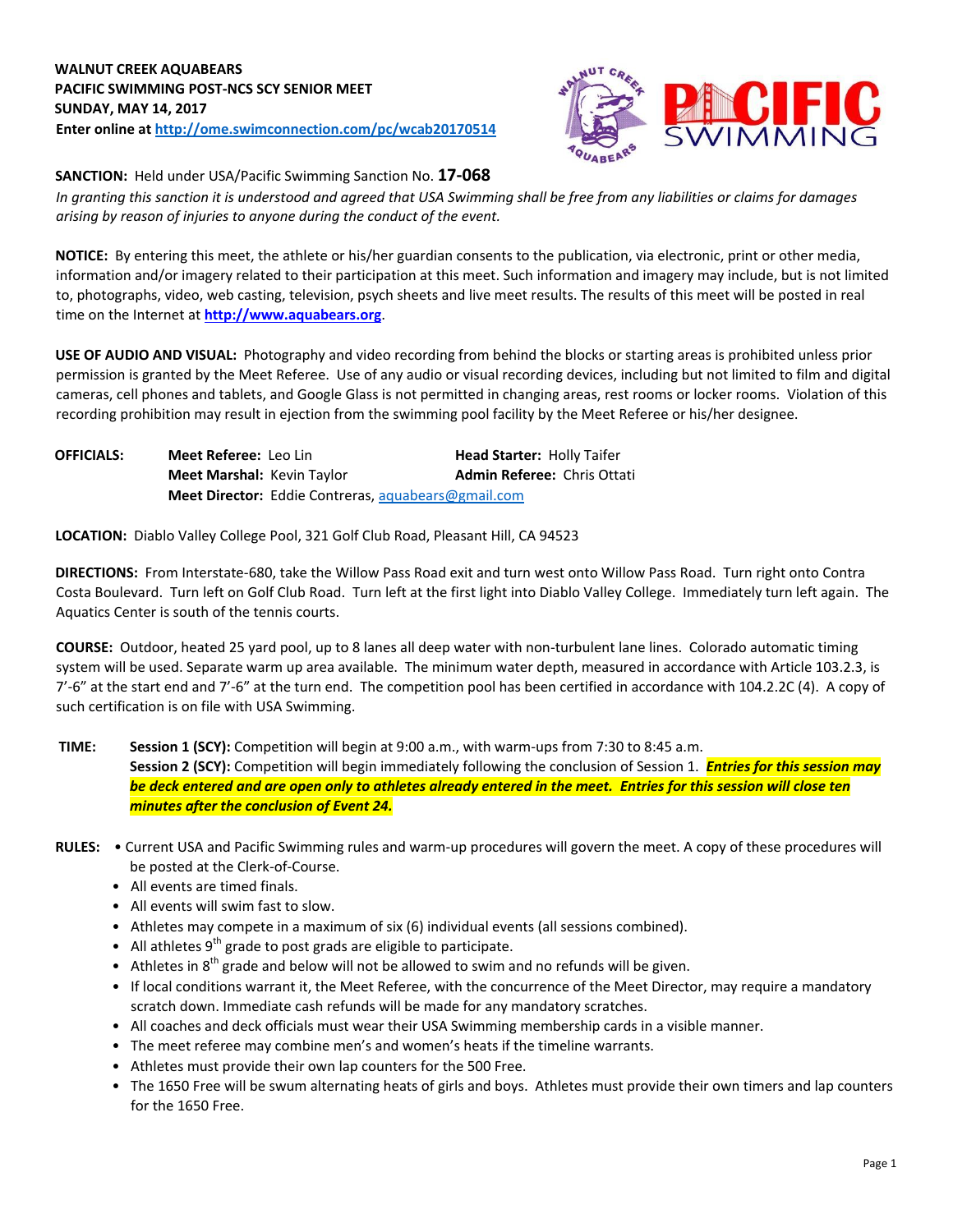## **WALNUT CREEK AQUABEARS PACIFIC SWIMMING POST-NCS SCY SENIOR MEET SUNDAY, MAY 14, 2017 Enter online a[t http://ome.swimconnection.com/pc/wcab20170514](http://ome.swimconnection.com/pc/wcab20170514)**



**SANCTION:** Held under USA/Pacific Swimming Sanction No. **17-068**

*In granting this sanction it is understood and agreed that USA Swimming shall be free from any liabilities or claims for damages arising by reason of injuries to anyone during the conduct of the event.* 

**NOTICE:** By entering this meet, the athlete or his/her guardian consents to the publication, via electronic, print or other media, information and/or imagery related to their participation at this meet. Such information and imagery may include, but is not limited to, photographs, video, web casting, television, psych sheets and live meet results. The results of this meet will be posted in real time on the Internet at **[http://www.aquabears.org](http://www.aquabears.org/)**[.](http://www.aquabears.org/)

**USE OF AUDIO AND VISUAL:** Photography and video recording from behind the blocks or starting areas is prohibited unless prior permission is granted by the Meet Referee. Use of any audio or visual recording devices, including but not limited to film and digital cameras, cell phones and tablets, and Google Glass is not permitted in changing areas, rest rooms or locker rooms. Violation of this recording prohibition may result in ejection from the swimming pool facility by the Meet Referee or his/her designee.

| <b>OFFICIALS:</b> | Meet Referee: Leo Lin             |                                                            | <b>Head Starter: Holly Taifer</b>  |
|-------------------|-----------------------------------|------------------------------------------------------------|------------------------------------|
|                   | <b>Meet Marshal: Kevin Taylor</b> |                                                            | <b>Admin Referee: Chris Ottati</b> |
|                   |                                   | <b>Meet Director:</b> Eddie Contreras, aquabears@gmail.com |                                    |

**LOCATION:** Diablo Valley College Pool, 321 Golf Club Road, Pleasant Hill, CA 94523

**DIRECTIONS:** From Interstate-680, take the Willow Pass Road exit and turn west onto Willow Pass Road. Turn right onto Contra Costa Boulevard. Turn left on Golf Club Road. Turn left at the first light into Diablo Valley College. Immediately turn left again. The Aquatics Center is south of the tennis courts.

**COURSE:** Outdoor, heated 25 yard pool, up to 8 lanes all deep water with non-turbulent lane lines. Colorado automatic timing system will be used. Separate warm up area available. The minimum water depth, measured in accordance with Article 103.2.3, is 7'-6" at the start end and 7'-6" at the turn end. The competition pool has been certified in accordance with 104.2.2C (4). A copy of such certification is on file with USA Swimming.

**TIME: Session 1 (SCY):** Competition will begin at 9:00 a.m., with warm-ups from 7:30 to 8:45 a.m. **Session 2 (SCY):** Competition will begin immediately following the conclusion of Session 1. *Entries for this session may be deck entered and are open only to athletes already entered in the meet. Entries for this session will close ten minutes after the conclusion of Event 24.*

- **RULES:**  Current USA and Pacific Swimming rules and warm-up procedures will govern the meet. A copy of these procedures will be posted at the Clerk-of-Course.
	- All events are timed finals.
	- All events will swim fast to slow.
	- Athletes may compete in a maximum of six (6) individual events (all sessions combined).
	- $\bullet$  All athletes 9<sup>th</sup> grade to post grads are eligible to participate.
	- Athletes in  $8<sup>th</sup>$  grade and below will not be allowed to swim and no refunds will be given.
	- If local conditions warrant it, the Meet Referee, with the concurrence of the Meet Director, may require a mandatory scratch down. Immediate cash refunds will be made for any mandatory scratches.
	- All coaches and deck officials must wear their USA Swimming membership cards in a visible manner.
	- The meet referee may combine men's and women's heats if the timeline warrants.
	- Athletes must provide their own lap counters for the 500 Free.
	- The 1650 Free will be swum alternating heats of girls and boys. Athletes must provide their own timers and lap counters for the 1650 Free.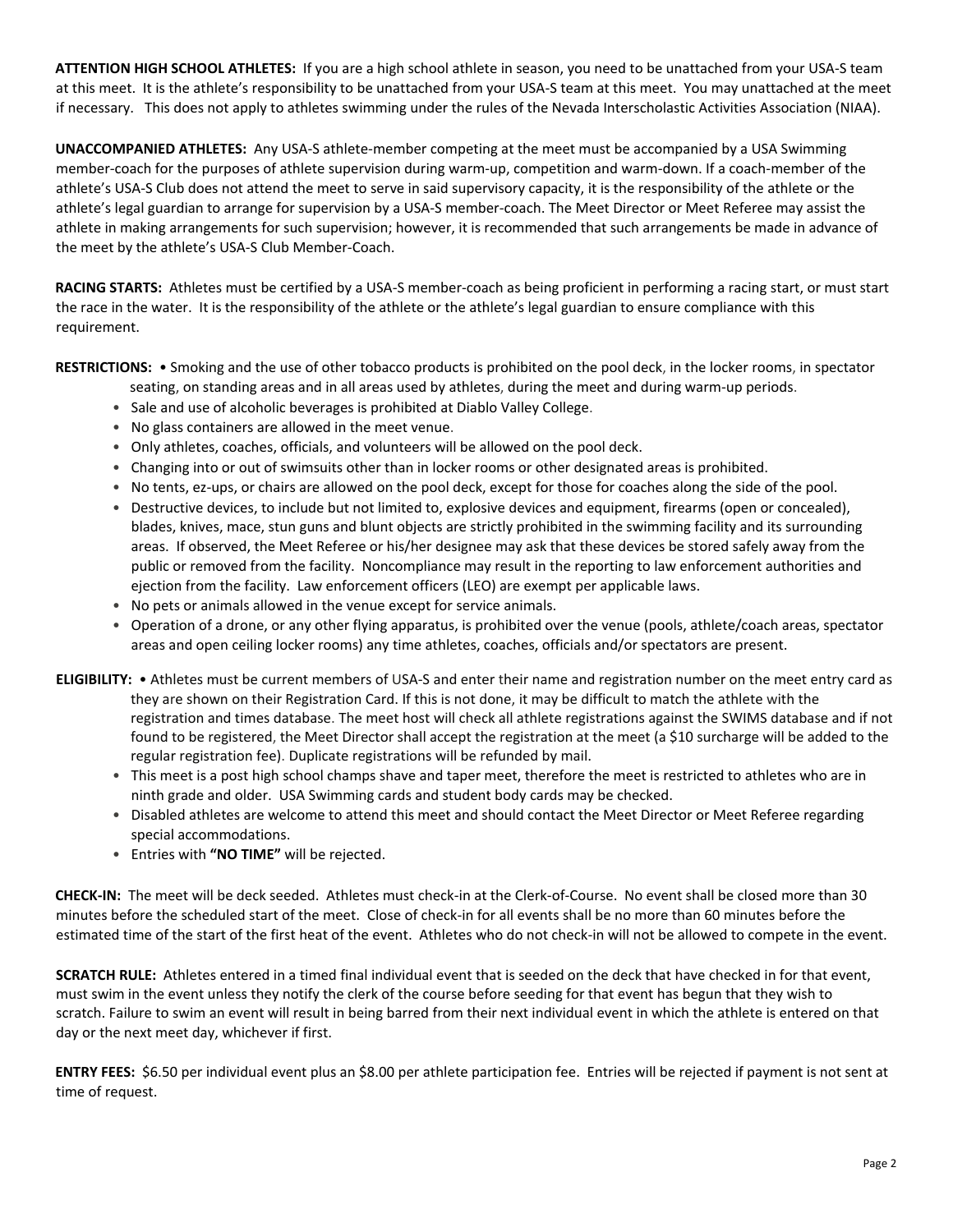**ATTENTION HIGH SCHOOL ATHLETES:** If you are a high school athlete in season, you need to be unattached from your USA-S team at this meet. It is the athlete's responsibility to be unattached from your USA-S team at this meet. You may unattached at the meet if necessary. This does not apply to athletes swimming under the rules of the Nevada Interscholastic Activities Association (NIAA).

**UNACCOMPANIED ATHLETES:** Any USA-S athlete-member competing at the meet must be accompanied by a USA Swimming member-coach for the purposes of athlete supervision during warm-up, competition and warm-down. If a coach-member of the athlete's USA-S Club does not attend the meet to serve in said supervisory capacity, it is the responsibility of the athlete or the athlete's legal guardian to arrange for supervision by a USA-S member-coach. The Meet Director or Meet Referee may assist the athlete in making arrangements for such supervision; however, it is recommended that such arrangements be made in advance of the meet by the athlete's USA-S Club Member-Coach.

**RACING STARTS:** Athletes must be certified by a USA-S member-coach as being proficient in performing a racing start, or must start the race in the water. It is the responsibility of the athlete or the athlete's legal guardian to ensure compliance with this requirement.

**RESTRICTIONS:** • Smoking and the use of other tobacco products is prohibited on the pool deck, in the locker rooms, in spectator

- seating, on standing areas and in all areas used by athletes, during the meet and during warm-up periods.
- Sale and use of alcoholic beverages is prohibited at Diablo Valley College.
- No glass containers are allowed in the meet venue.
- Only athletes, coaches, officials, and volunteers will be allowed on the pool deck.
- Changing into or out of swimsuits other than in locker rooms or other designated areas is prohibited.
- No tents, ez-ups, or chairs are allowed on the pool deck, except for those for coaches along the side of the pool.
- Destructive devices, to include but not limited to, explosive devices and equipment, firearms (open or concealed), blades, knives, mace, stun guns and blunt objects are strictly prohibited in the swimming facility and its surrounding areas. If observed, the Meet Referee or his/her designee may ask that these devices be stored safely away from the public or removed from the facility. Noncompliance may result in the reporting to law enforcement authorities and ejection from the facility. Law enforcement officers (LEO) are exempt per applicable laws.
- No pets or animals allowed in the venue except for service animals.
- Operation of a drone, or any other flying apparatus, is prohibited over the venue (pools, athlete/coach areas, spectator areas and open ceiling locker rooms) any time athletes, coaches, officials and/or spectators are present.
- **ELIGIBILITY:**  Athletes must be current members of USA-S and enter their name and registration number on the meet entry card as they are shown on their Registration Card. If this is not done, it may be difficult to match the athlete with the registration and times database. The meet host will check all athlete registrations against the SWIMS database and if not found to be registered, the Meet Director shall accept the registration at the meet (a \$10 surcharge will be added to the regular registration fee). Duplicate registrations will be refunded by mail.
	- This meet is a post high school champs shave and taper meet, therefore the meet is restricted to athletes who are in ninth grade and older. USA Swimming cards and student body cards may be checked.
	- Disabled athletes are welcome to attend this meet and should contact the Meet Director or Meet Referee regarding special accommodations.
	- Entries with **"NO TIME"** will be rejected.

**CHECK-IN:** The meet will be deck seeded. Athletes must check-in at the Clerk-of-Course. No event shall be closed more than 30 minutes before the scheduled start of the meet. Close of check-in for all events shall be no more than 60 minutes before the estimated time of the start of the first heat of the event. Athletes who do not check-in will not be allowed to compete in the event.

**SCRATCH RULE:** Athletes entered in a timed final individual event that is seeded on the deck that have checked in for that event, must swim in the event unless they notify the clerk of the course before seeding for that event has begun that they wish to scratch. Failure to swim an event will result in being barred from their next individual event in which the athlete is entered on that day or the next meet day, whichever if first.

**ENTRY FEES:** \$6.50 per individual event plus an \$8.00 per athlete participation fee. Entries will be rejected if payment is not sent at time of request.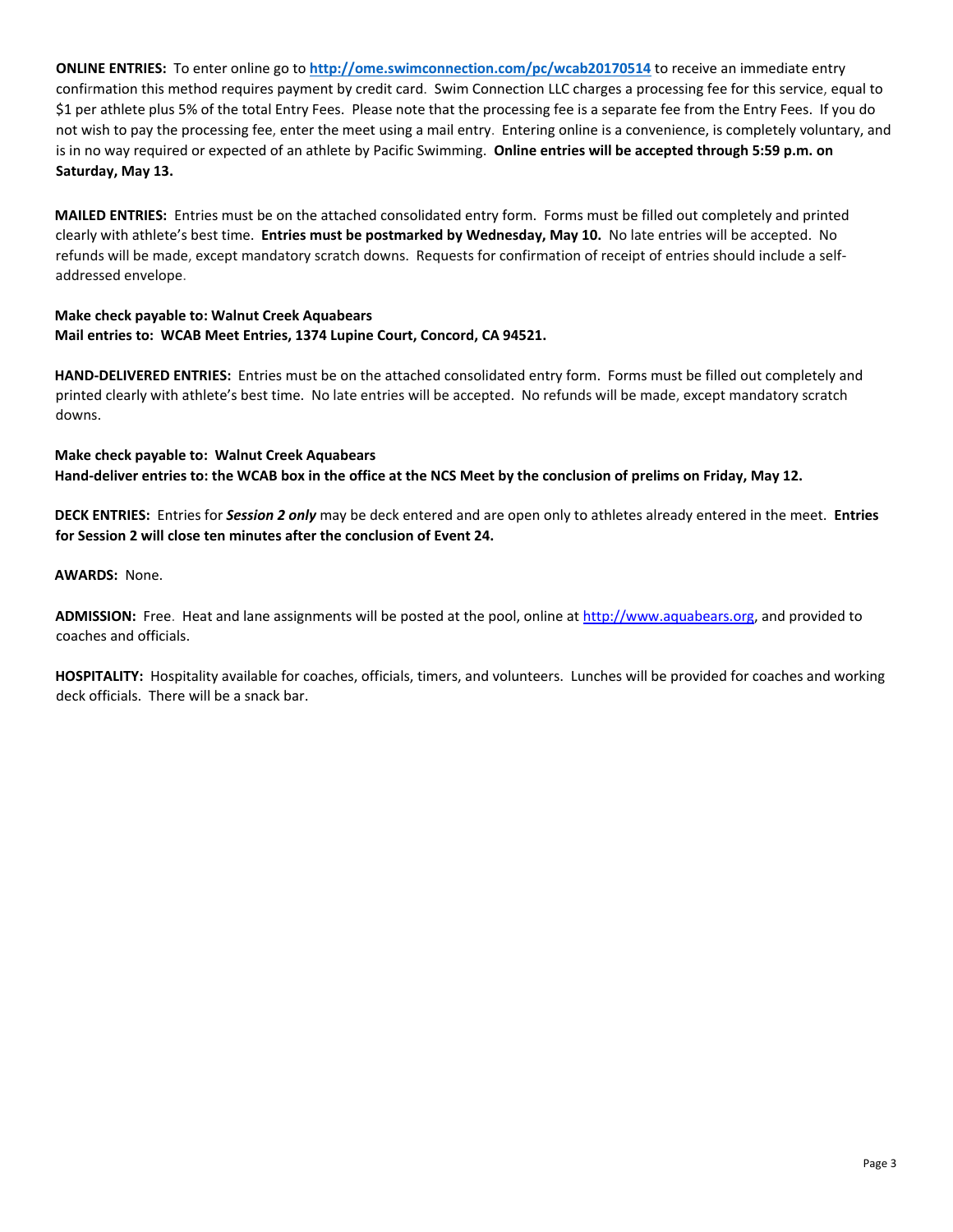**ONLINE ENTRIES:** To enter online go to **<http://ome.swimconnection.com/pc/wcab20170514>** [to](http://ome.swimconnection.com/pc/wcab20150517) receive an immediate entry confirmation this method requires payment by credit card. Swim Connection LLC charges a processing fee for this service, equal to \$1 per athlete plus 5% of the total Entry Fees. Please note that the processing fee is a separate fee from the Entry Fees. If you do not wish to pay the processing fee, enter the meet using a mail entry. Entering online is a convenience, is completely voluntary, and is in no way required or expected of an athlete by Pacific Swimming. **Online entries will be accepted through 5:59 p.m. on Saturday, May 13.**

**MAILED ENTRIES:** Entries must be on the attached consolidated entry form. Forms must be filled out completely and printed clearly with athlete's best time. **Entries must be postmarked by Wednesday, May 10.** No late entries will be accepted. No refunds will be made, except mandatory scratch downs. Requests for confirmation of receipt of entries should include a selfaddressed envelope.

## **Make check payable to: Walnut Creek Aquabears Mail entries to: WCAB Meet Entries, 1374 Lupine Court, Concord, CA 94521.**

**HAND-DELIVERED ENTRIES:** Entries must be on the attached consolidated entry form. Forms must be filled out completely and printed clearly with athlete's best time. No late entries will be accepted. No refunds will be made, except mandatory scratch downs.

**Make check payable to: Walnut Creek Aquabears Hand-deliver entries to: the WCAB box in the office at the NCS Meet by the conclusion of prelims on Friday, May 12.** 

**DECK ENTRIES:** Entries for *Session 2 only* may be deck entered and are open only to athletes already entered in the meet. **Entries for Session 2 will close ten minutes after the conclusion of Event 24.**

**AWARDS:** None.

**ADMISSION:** Free. Heat and lane assignments will be posted at the pool, online a[t http://www.aquabears.org,](http://www.aquabears.org/) and provided to coaches and officials.

**HOSPITALITY:** Hospitality available for coaches, officials, timers, and volunteers. Lunches will be provided for coaches and working deck officials. There will be a snack bar.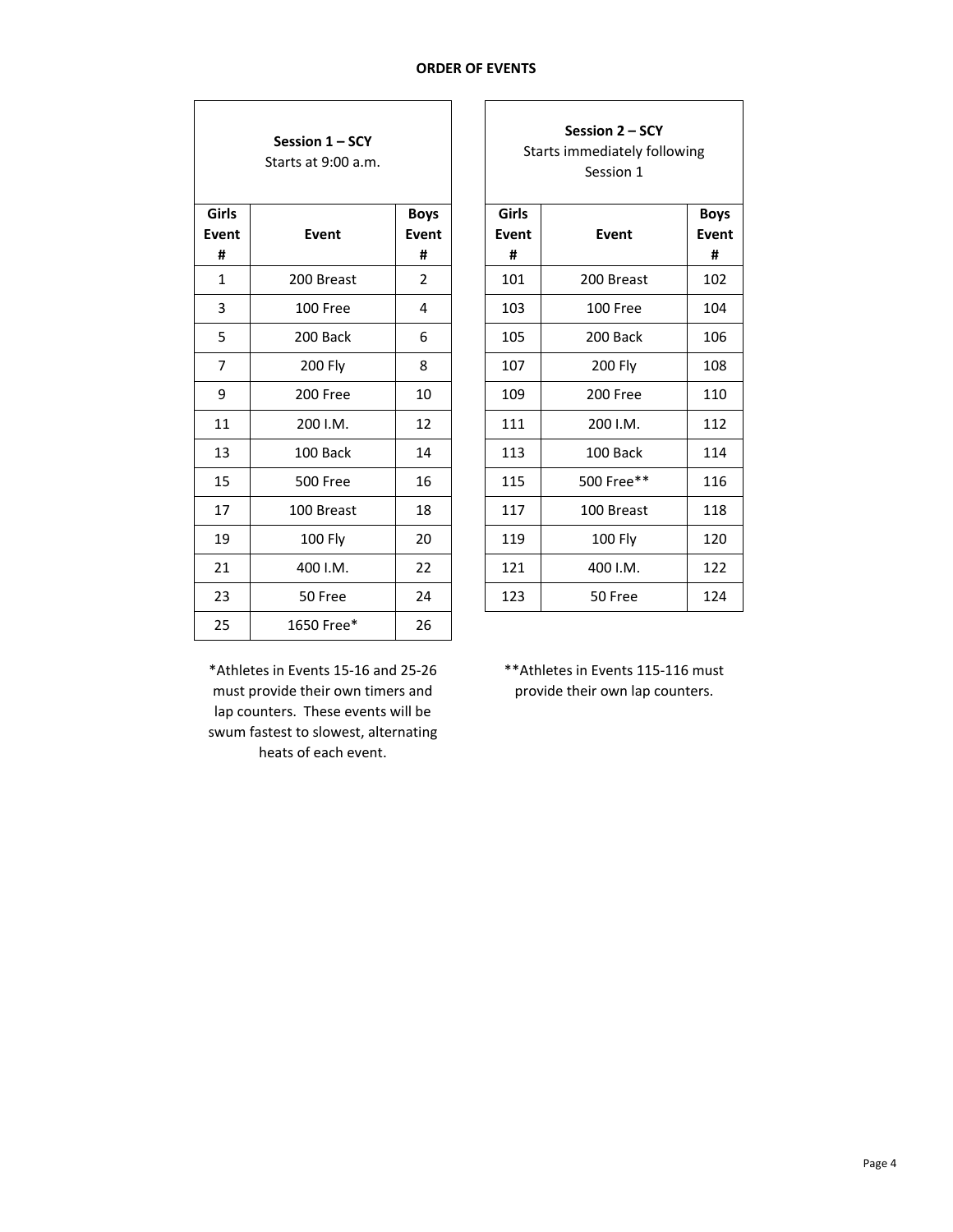٦

| Session 1 - SCY<br>Starts at 9:00 a.m. |                 |                                  |  |  |  |  |  |  |
|----------------------------------------|-----------------|----------------------------------|--|--|--|--|--|--|
| Girls<br>Event<br>#                    | <b>Event</b>    | <b>Boys</b><br><b>Event</b><br># |  |  |  |  |  |  |
| 1                                      | 200 Breast      | 2                                |  |  |  |  |  |  |
| 3                                      | 100 Free        | 4                                |  |  |  |  |  |  |
| 5                                      | 200 Back        | 6                                |  |  |  |  |  |  |
| 7                                      | 200 Fly         | 8                                |  |  |  |  |  |  |
| 9                                      | 200 Free        | 10                               |  |  |  |  |  |  |
| 11                                     | 200 I.M.        | 12                               |  |  |  |  |  |  |
| 13                                     | 100 Back        | 14                               |  |  |  |  |  |  |
| 15                                     | <b>500 Free</b> | 16                               |  |  |  |  |  |  |
| 17                                     | 100 Breast      | 18                               |  |  |  |  |  |  |
| 19                                     | 100 Fly         | 20                               |  |  |  |  |  |  |
| 21                                     | 400 I.M.        | 22                               |  |  |  |  |  |  |
| 23                                     | 50 Free         | 24                               |  |  |  |  |  |  |
| 25                                     | 1650 Free*      | 26                               |  |  |  |  |  |  |

 $\Gamma$ 

| Session 1 - SCY<br>Starts at 9:00 a.m. |                 |                           |  |                     | Starts immediately following |                           |
|----------------------------------------|-----------------|---------------------------|--|---------------------|------------------------------|---------------------------|
| iirls<br>ent/<br>#                     | Event           | <b>Boys</b><br>Event<br># |  | Girls<br>Event<br># | Event                        | <b>Boys</b><br>Event<br># |
| $1\,$                                  | 200 Breast      | $\overline{2}$            |  | 101                 | 200 Breast                   | 102                       |
| $\overline{3}$                         | 100 Free        | 4                         |  | 103                 | 100 Free                     | 104                       |
| 5                                      | 200 Back        | 6                         |  | 105                 | 200 Back                     | 106                       |
| 7                                      | 200 Fly         | 8                         |  | 107                 | 200 Fly                      | 108                       |
| 9                                      | 200 Free        | 10                        |  | 109                 | 200 Free                     | 110                       |
| 11                                     | 200 I.M.        | 12                        |  | 111                 | 200 I.M.                     | 112                       |
| 13                                     | 100 Back        | 14                        |  | 113                 | 100 Back                     | 114                       |
| 15                                     | <b>500 Free</b> | 16                        |  | 115                 | 500 Free**                   | 116                       |
| 17                                     | 100 Breast      | 18                        |  | 117                 | 100 Breast                   | 118                       |
| 19                                     | 100 Fly         | 20                        |  | 119                 | 100 Fly                      | 120                       |
| 21                                     | 400 I.M.        | 22                        |  | 121                 | 400 I.M.                     | 122                       |
| 23                                     | 50 Free         | 24                        |  | 123                 | 50 Free                      | 124                       |
|                                        |                 |                           |  |                     |                              |                           |

\*Athletes in Events 15-16 and 25-26 must provide their own timers and lap counters. These events will be swum fastest to slowest, alternating heats of each event.

\*\*Athletes in Events 115-116 must provide their own lap counters.